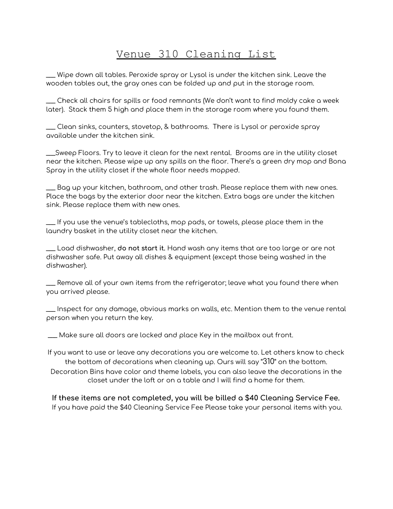## Venue 310 Cleaning List

\_\_\_ Wipe down all tables. Peroxide spray or Lysol is under the kitchen sink. Leave the wooden tables out, the gray ones can be folded up and put in the storage room.

\_\_\_ Check all chairs for spills or food remnants (We don't want to find moldy cake a week later). Stack them 5 high and place them in the storage room where you found them.

\_\_\_ Clean sinks, counters, stovetop, & bathrooms. There is Lysol or peroxide spray available under the kitchen sink.

\_\_\_Sweep Floors. Try to leave it clean for the next rental. Brooms are in the utility closet near the kitchen. Please wipe up any spills on the floor. There's a green dry mop and Bona Spray in the utility closet if the whole floor needs mopped.

\_\_\_ Bag up your kitchen, bathroom, and other trash. Please replace them with new ones. Place the bags by the exterior door near the kitchen. Extra bags are under the kitchen sink. Please replace them with new ones.

\_\_\_ If you use the venue's tablecloths, mop pads, or towels, please place them in the laundry basket in the utility closet near the kitchen.

\_\_\_ Load dishwasher, **do not start it.** Hand wash any items that are too large or are not dishwasher safe. Put away all dishes & equipment (except those being washed in the dishwasher).

\_\_\_ Remove all of your own items from the refrigerator; leave what you found there when you arrived please.

\_\_\_ Inspect for any damage, obvious marks on walls, etc. Mention them to the venue rental person when you return the key.

\_\_\_ Make sure all doors are locked and place Key in the mailbox out front.

If you want to use or leave any decorations you are welcome to. Let others know to check the bottom of decorations when cleaning up. Ours will say "310" on the bottom. Decoration Bins have color and theme labels, you can also leave the decorations in the closet under the loft or on a table and I will find a home for them.

**If these items are not completed, you will be billed a \$40 Cleaning Service Fee.** If you have paid the \$40 Cleaning Service Fee Please take your personal items with you.